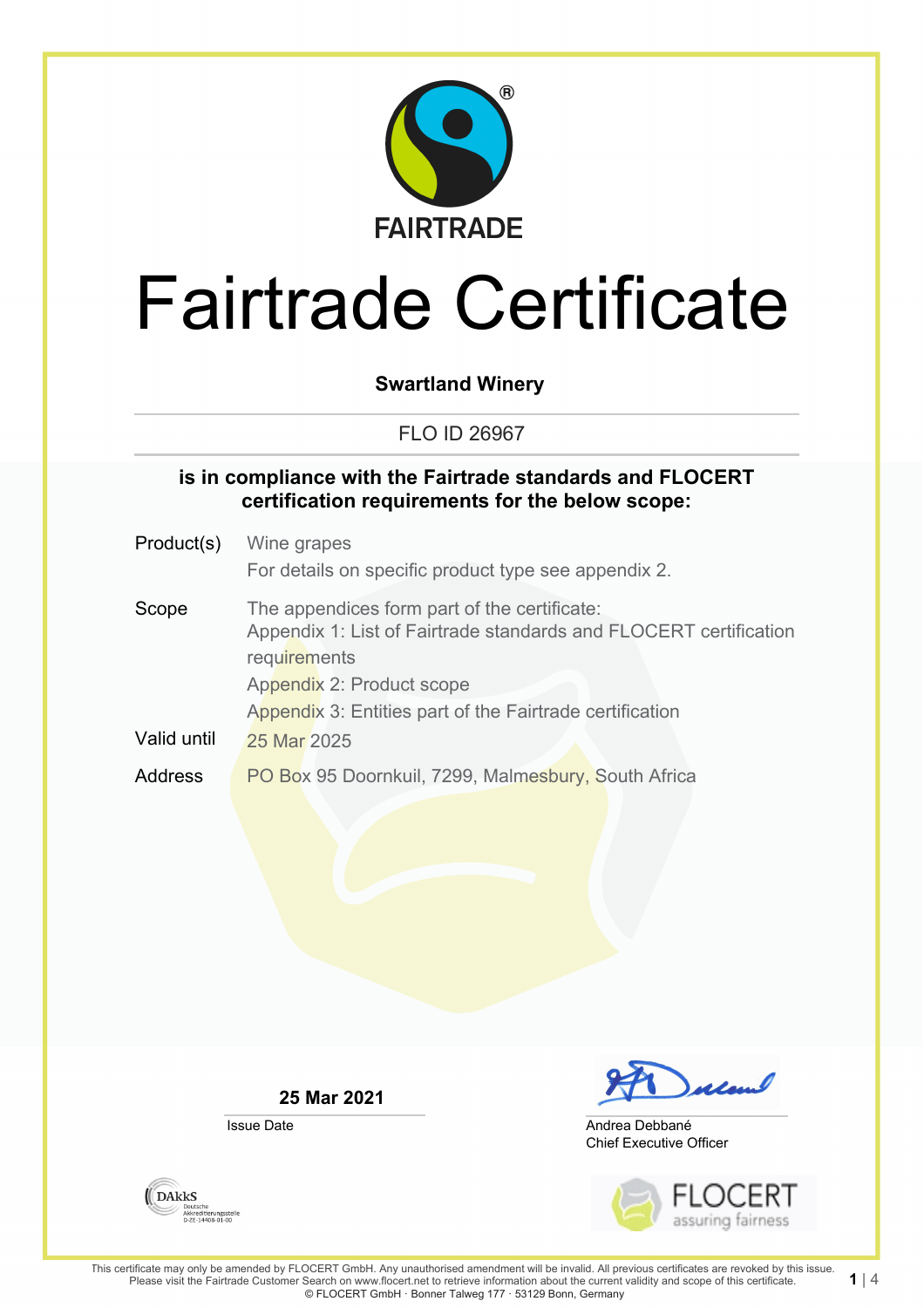

## **Swartland Winery**

## FLO ID 26967

### **is in compliance with the Fairtrade standards and FLOCERT certification requirements for the below scope:**

Product(s) Wine grapes For details on specific product type see appendix 2. Scope The appendices form part of the certificate: Appendix 1: List of Fairtrade standards and FLOCERT certification **requirements** Appendix 2: Product scope Appendix 3: Entities part of the Fairtrade certification Valid until 25 Mar 2025 Address **PO Box 95 Doornkuil, 7299, Malmesbury, South Africa** 

**25 Mar 2021**

Issue Date



Chief Executive Officer Andrea Debbané



**1** | 4

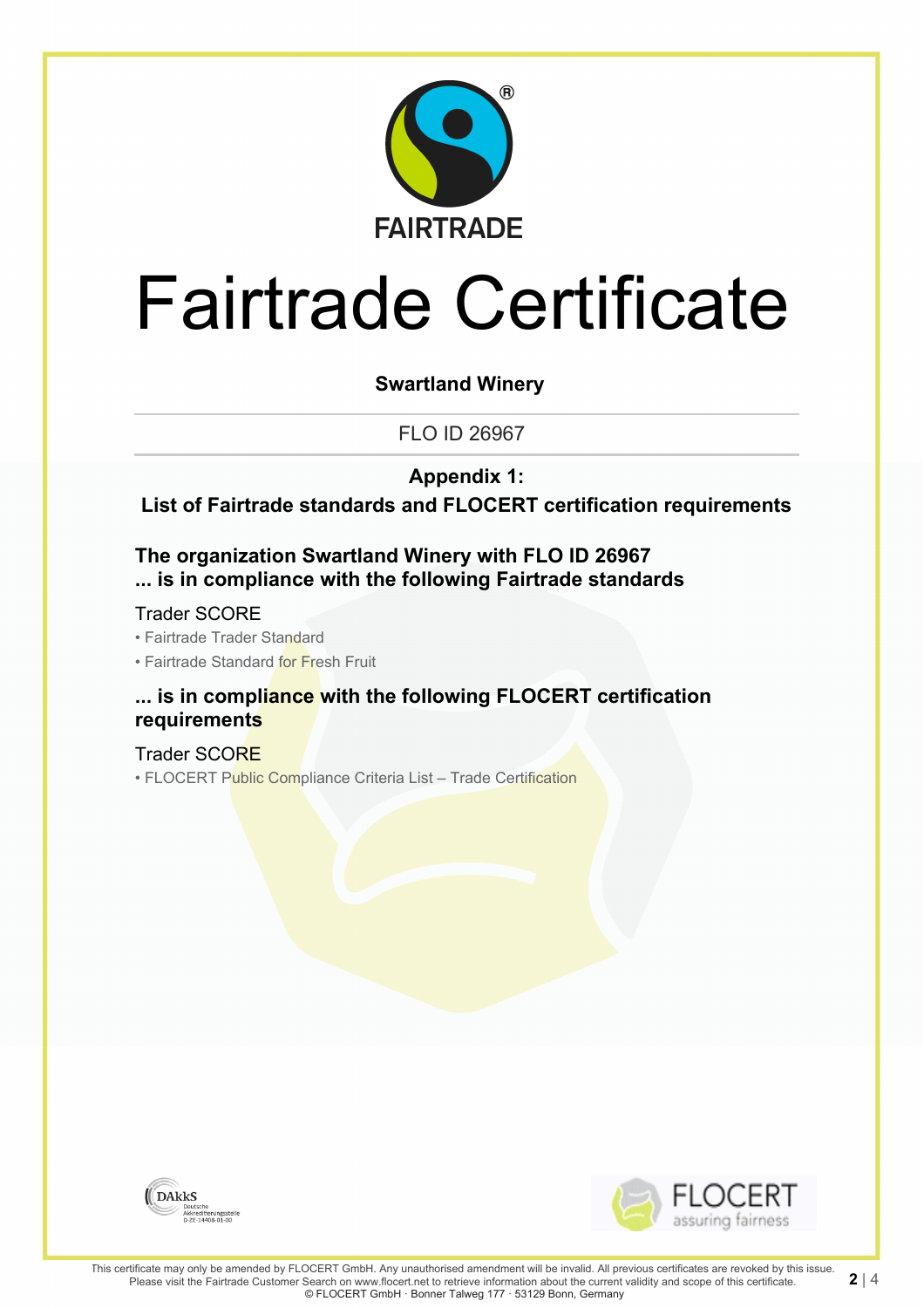

**Swartland Winery**

FLO ID 26967

**Appendix 1:**

**List of Fairtrade standards and FLOCERT certification requirements**

**The organization Swartland Winery with FLO ID 26967 ... is in compliance with the following Fairtrade standards**

Trader SCORE

• Fairtrade Trader Standard

• Fairtrade Standard for Fresh Fruit

## **... is in compliance with the following FLOCERT certification requirements**

Trader SCORE • FLOCERT Public Compliance Criteria List - Trade Certification



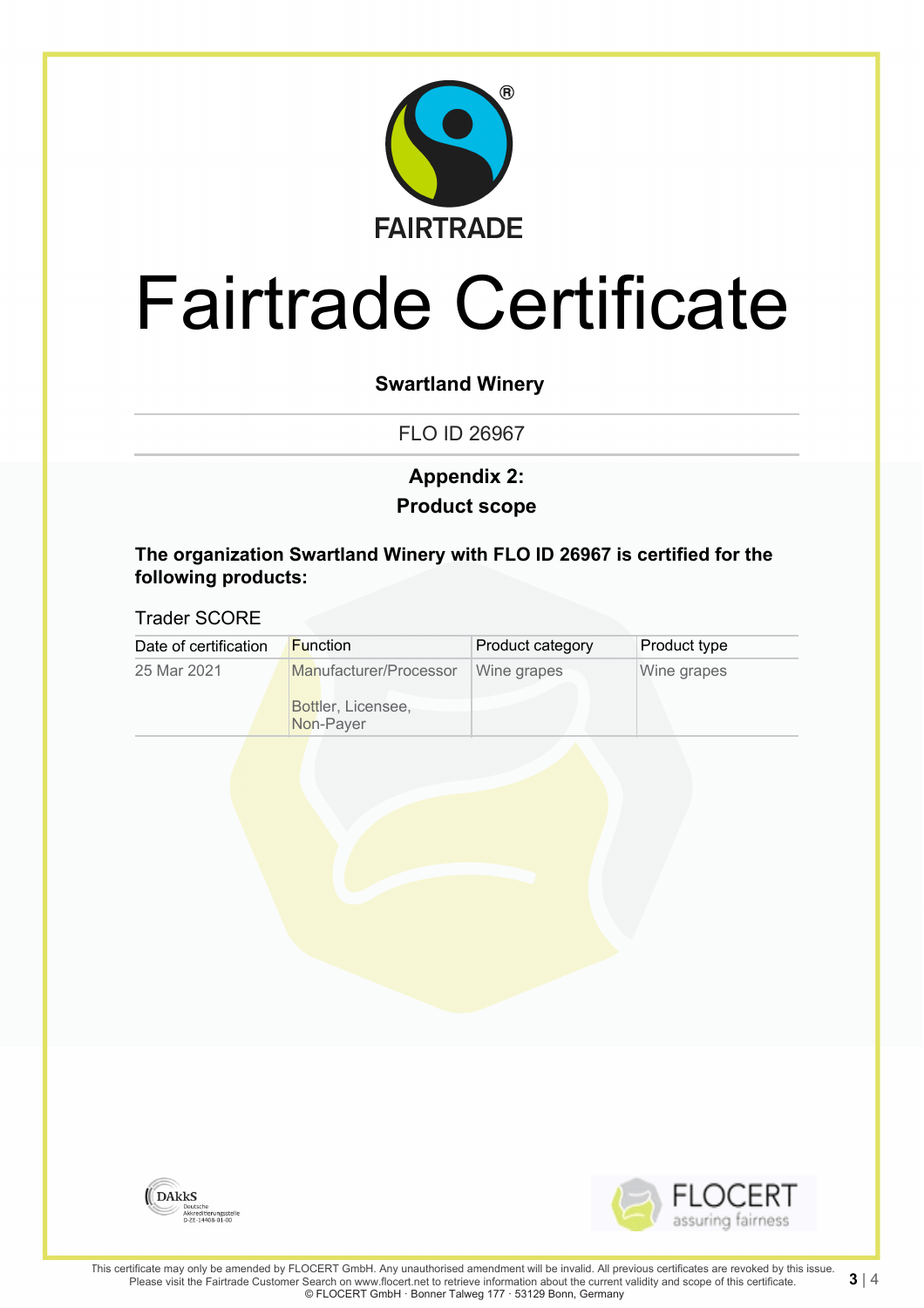

## **Swartland Winery**

FLO ID 26967

## **Product scope Appendix 2:**

### **The organization Swartland Winery with FLO ID 26967 is certified for the following products:**

### Trader SCORE

| Date of certification | <b>Function</b>                 | Product category | Product type |
|-----------------------|---------------------------------|------------------|--------------|
| 25 Mar 2021           | Manufacturer/Processor          | Wine grapes      | Wine grapes  |
|                       | Bottler, Licensee,<br>Non-Payer |                  |              |